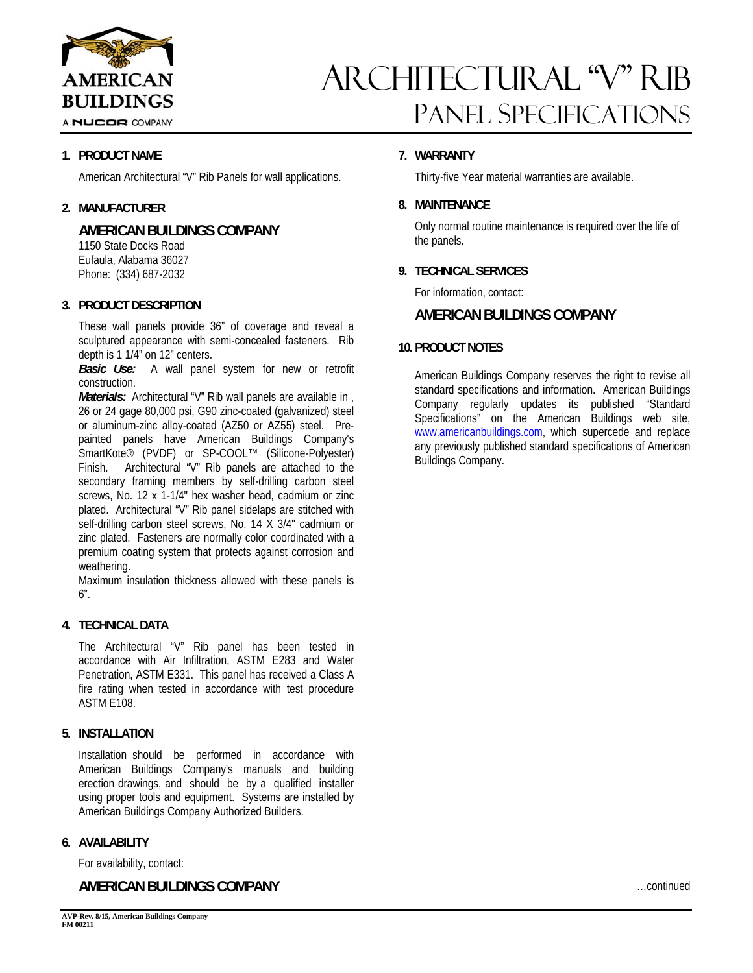

A NUCOR COMPANY

### **1. PRODUCT NAME**

American Architectural "V" Rib Panels for wall applications.

### **2. MANUFACTURER**

## **AMERICAN BUILDINGS COMPANY**

 1150 State Docks Road Eufaula, Alabama 36027 Phone: (334) 687-2032

### **3. PRODUCT DESCRIPTION**

These wall panels provide 36" of coverage and reveal a sculptured appearance with semi-concealed fasteners. Rib depth is 1 1/4" on 12" centers.

*Basic Use:* A wall panel system for new or retrofit construction.

*Materials:* Architectural "V" Rib wall panels are available in, 26 or 24 gage 80,000 psi, G90 zinc-coated (galvanized) steel or aluminum-zinc alloy-coated (AZ50 or AZ55) steel. Prepainted panels have American Buildings Company's SmartKote® (PVDF) or SP-COOL™ (Silicone-Polyester) Finish. Architectural "V" Rib panels are attached to the secondary framing members by self-drilling carbon steel screws, No. 12 x 1-1/4" hex washer head, cadmium or zinc plated. Architectural "V" Rib panel sidelaps are stitched with self-drilling carbon steel screws, No. 14 X 3/4" cadmium or zinc plated. Fasteners are normally color coordinated with a premium coating system that protects against corrosion and weathering.

Maximum insulation thickness allowed with these panels is 6".

### **4. TECHNICAL DATA**

The Architectural "V" Rib panel has been tested in accordance with Air Infiltration, ASTM E283 and Water Penetration, ASTM E331. This panel has received a Class A fire rating when tested in accordance with test procedure ASTM E108.

### **5. INSTALLATION**

Installation should be performed in accordance with American Buildings Company's manuals and building erection drawings, and should be by a qualified installer using proper tools and equipment. Systems are installed by American Buildings Company Authorized Builders.

#### **6. AVAILABILITY**

For availability, contact:

## **AMERICAN BUILDINGS COMPANY**

## ARCHITECTURAL "V" RIB Panel Specifications

### **7. WARRANTY**

Thirty-five Year material warranties are available.

### **8. MAINTENANCE**

Only normal routine maintenance is required over the life of the panels.

### **9. TECHNICAL SERVICES**

For information, contact:

### **AMERICAN BUILDINGS COMPANY**

### **10. PRODUCT NOTES**

American Buildings Company reserves the right to revise all standard specifications and information. American Buildings Company regularly updates its published "Standard Specifications" on the American Buildings web site, www.americanbuildings.com, which supercede and replace any previously published standard specifications of American Buildings Company.